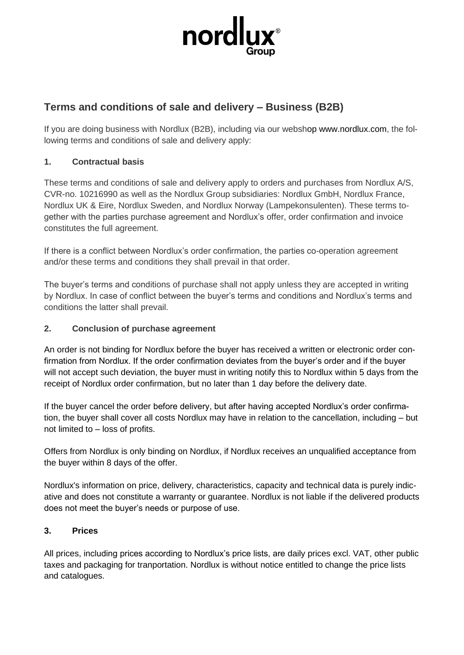

# **Terms and conditions of sale and delivery – Business (B2B)**

If you are doing business with Nordlux (B2B), including via our webshop www.nordlux.com, the following terms and conditions of sale and delivery apply:

# **1. Contractual basis**

These terms and conditions of sale and delivery apply to orders and purchases from Nordlux A/S, CVR-no. 10216990 as well as the Nordlux Group subsidiaries: Nordlux GmbH, Nordlux France, Nordlux UK & Eire, Nordlux Sweden, and Nordlux Norway (Lampekonsulenten). These terms together with the parties purchase agreement and Nordlux's offer, order confirmation and invoice constitutes the full agreement.

If there is a conflict between Nordlux's order confirmation, the parties co-operation agreement and/or these terms and conditions they shall prevail in that order.

The buyer's terms and conditions of purchase shall not apply unless they are accepted in writing by Nordlux. In case of conflict between the buyer's terms and conditions and Nordlux's terms and conditions the latter shall prevail.

# **2. Conclusion of purchase agreement**

An order is not binding for Nordlux before the buyer has received a written or electronic order confirmation from Nordlux. If the order confirmation deviates from the buyer's order and if the buyer will not accept such deviation, the buyer must in writing notify this to Nordlux within 5 days from the receipt of Nordlux order confirmation, but no later than 1 day before the delivery date.

If the buyer cancel the order before delivery, but after having accepted Nordlux's order confirmation, the buyer shall cover all costs Nordlux may have in relation to the cancellation, including – but not limited to – loss of profits.

Offers from Nordlux is only binding on Nordlux, if Nordlux receives an unqualified acceptance from the buyer within 8 days of the offer.

Nordlux's information on price, delivery, characteristics, capacity and technical data is purely indicative and does not constitute a warranty or guarantee. Nordlux is not liable if the delivered products does not meet the buyer's needs or purpose of use.

# **3. Prices**

All prices, including prices according to Nordlux's price lists, are daily prices excl. VAT, other public taxes and packaging for tranportation. Nordlux is without notice entitled to change the price lists and catalogues.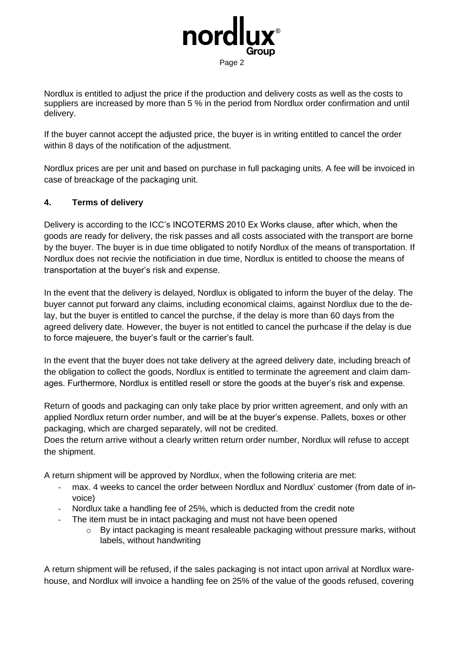

Nordlux is entitled to adjust the price if the production and delivery costs as well as the costs to suppliers are increased by more than 5 % in the period from Nordlux order confirmation and until delivery.

If the buyer cannot accept the adjusted price, the buyer is in writing entitled to cancel the order within 8 days of the notification of the adjustment.

Nordlux prices are per unit and based on purchase in full packaging units. A fee will be invoiced in case of breackage of the packaging unit.

### **4. Terms of delivery**

Delivery is according to the ICC's INCOTERMS 2010 Ex Works clause, after which, when the goods are ready for delivery, the risk passes and all costs associated with the transport are borne by the buyer. The buyer is in due time obligated to notify Nordlux of the means of transportation. If Nordlux does not recivie the notificiation in due time, Nordlux is entitled to choose the means of transportation at the buyer's risk and expense.

In the event that the delivery is delayed, Nordlux is obligated to inform the buyer of the delay. The buyer cannot put forward any claims, including economical claims, against Nordlux due to the delay, but the buyer is entitled to cancel the purchse, if the delay is more than 60 days from the agreed delivery date. However, the buyer is not entitled to cancel the purhcase if the delay is due to force majeuere, the buyer's fault or the carrier's fault.

In the event that the buyer does not take delivery at the agreed delivery date, including breach of the obligation to collect the goods, Nordlux is entitled to terminate the agreement and claim damages. Furthermore, Nordlux is entitled resell or store the goods at the buyer's risk and expense.

Return of goods and packaging can only take place by prior written agreement, and only with an applied Nordlux return order number, and will be at the buyer's expense. Pallets, boxes or other packaging, which are charged separately, will not be credited.

Does the return arrive without a clearly written return order number, Nordlux will refuse to accept the shipment.

A return shipment will be approved by Nordlux, when the following criteria are met:

- max. 4 weeks to cancel the order between Nordlux and Nordlux' customer (from date of invoice)
- Nordlux take a handling fee of 25%, which is deducted from the credit note
- The item must be in intact packaging and must not have been opened
	- $\circ$  By intact packaging is meant resaleable packaging without pressure marks, without labels, without handwriting

A return shipment will be refused, if the sales packaging is not intact upon arrival at Nordlux warehouse, and Nordlux will invoice a handling fee on 25% of the value of the goods refused, covering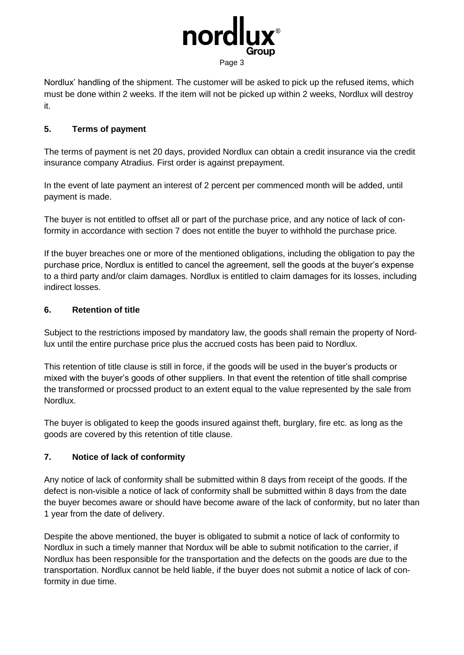

Nordlux' handling of the shipment. The customer will be asked to pick up the refused items, which must be done within 2 weeks. If the item will not be picked up within 2 weeks, Nordlux will destroy it.

# **5. Terms of payment**

The terms of payment is net 20 days, provided Nordlux can obtain a credit insurance via the credit insurance company Atradius. First order is against prepayment.

In the event of late payment an interest of 2 percent per commenced month will be added, until payment is made.

The buyer is not entitled to offset all or part of the purchase price, and any notice of lack of conformity in accordance with section 7 does not entitle the buyer to withhold the purchase price.

If the buyer breaches one or more of the mentioned obligations, including the obligation to pay the purchase price, Nordlux is entitled to cancel the agreement, sell the goods at the buyer's expense to a third party and/or claim damages. Nordlux is entitled to claim damages for its losses, including indirect losses.

# **6. Retention of title**

Subject to the restrictions imposed by mandatory law, the goods shall remain the property of Nordlux until the entire purchase price plus the accrued costs has been paid to Nordlux.

This retention of title clause is still in force, if the goods will be used in the buyer's products or mixed with the buyer's goods of other suppliers. In that event the retention of title shall comprise the transformed or procssed product to an extent equal to the value represented by the sale from Nordlux.

The buyer is obligated to keep the goods insured against theft, burglary, fire etc. as long as the goods are covered by this retention of title clause.

# **7. Notice of lack of conformity**

Any notice of lack of conformity shall be submitted within 8 days from receipt of the goods. If the defect is non-visible a notice of lack of conformity shall be submitted within 8 days from the date the buyer becomes aware or should have become aware of the lack of conformity, but no later than 1 year from the date of delivery.

Despite the above mentioned, the buyer is obligated to submit a notice of lack of conformity to Nordlux in such a timely manner that Nordux will be able to submit notification to the carrier, if Nordlux has been responsible for the transportation and the defects on the goods are due to the transportation. Nordlux cannot be held liable, if the buyer does not submit a notice of lack of conformity in due time.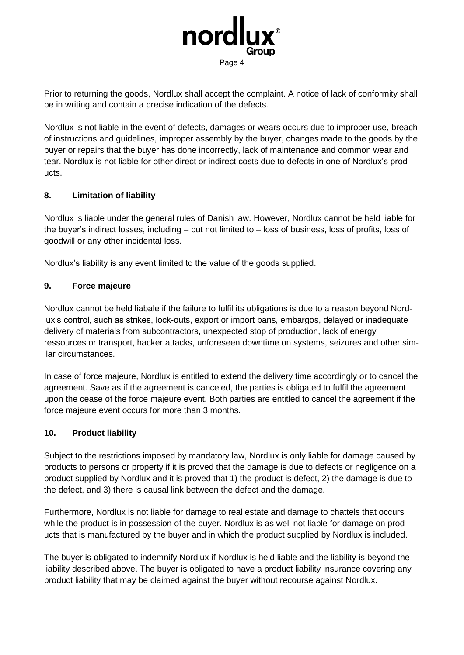

Prior to returning the goods, Nordlux shall accept the complaint. A notice of lack of conformity shall be in writing and contain a precise indication of the defects.

Nordlux is not liable in the event of defects, damages or wears occurs due to improper use, breach of instructions and guidelines, improper assembly by the buyer, changes made to the goods by the buyer or repairs that the buyer has done incorrectly, lack of maintenance and common wear and tear. Nordlux is not liable for other direct or indirect costs due to defects in one of Nordlux's products.

### **8. Limitation of liability**

Nordlux is liable under the general rules of Danish law. However, Nordlux cannot be held liable for the buyer's indirect losses, including – but not limited to – loss of business, loss of profits, loss of goodwill or any other incidental loss.

Nordlux's liability is any event limited to the value of the goods supplied.

### **9. Force majeure**

Nordlux cannot be held liabale if the failure to fulfil its obligations is due to a reason beyond Nordlux's control, such as strikes, lock-outs, export or import bans, embargos, delayed or inadequate delivery of materials from subcontractors, unexpected stop of production, lack of energy ressources or transport, hacker attacks, unforeseen downtime on systems, seizures and other similar circumstances.

In case of force majeure, Nordlux is entitled to extend the delivery time accordingly or to cancel the agreement. Save as if the agreement is canceled, the parties is obligated to fulfil the agreement upon the cease of the force majeure event. Both parties are entitled to cancel the agreement if the force majeure event occurs for more than 3 months.

#### **10. Product liability**

Subject to the restrictions imposed by mandatory law, Nordlux is only liable for damage caused by products to persons or property if it is proved that the damage is due to defects or negligence on a product supplied by Nordlux and it is proved that 1) the product is defect, 2) the damage is due to the defect, and 3) there is causal link between the defect and the damage.

Furthermore, Nordlux is not liable for damage to real estate and damage to chattels that occurs while the product is in possession of the buyer. Nordlux is as well not liable for damage on products that is manufactured by the buyer and in which the product supplied by Nordlux is included.

The buyer is obligated to indemnify Nordlux if Nordlux is held liable and the liability is beyond the liability described above. The buyer is obligated to have a product liability insurance covering any product liability that may be claimed against the buyer without recourse against Nordlux.